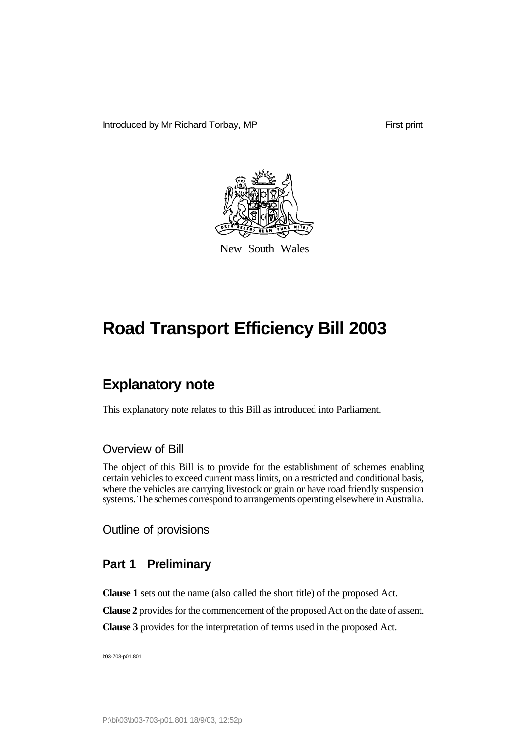Introduced by Mr Richard Torbay, MP

First print



New South Wales

# **Road Transport Efficiency Bill 2003**

## **Explanatory note**

This explanatory note relates to this Bill as introduced into Parliament.

#### Overview of Bill

The object of this Bill is to provide for the establishment of schemes enabling certain vehicles to exceed current mass limits, on a restricted and conditional basis, where the vehicles are carrying livestock or grain or have road friendly suspension systems. The schemes correspond to arrangements operatingelsewhere in Australia.

Outline of provisions

### **Part 1 Preliminary**

**Clause 1** sets out the name (also called the short title) of the proposed Act.

**Clause 2** provides for the commencement of the proposed Act on the date of assent.

**Clause 3** provides for the interpretation of terms used in the proposed Act.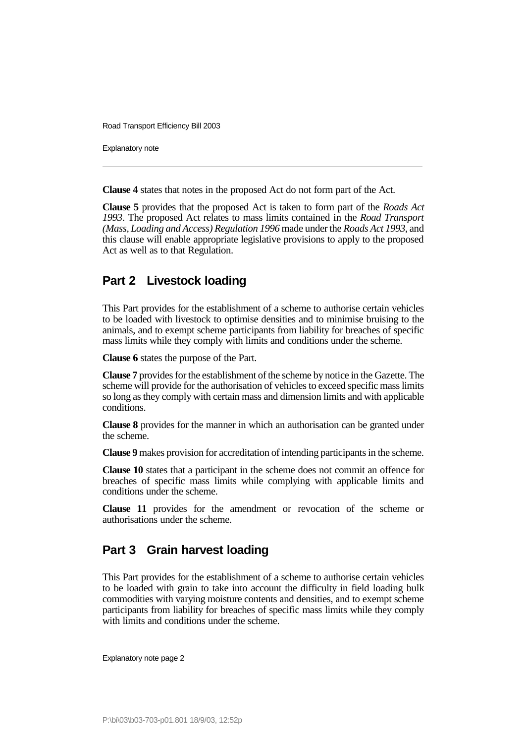Explanatory note

**Clause 4** states that notes in the proposed Act do not form part of the Act.

**Clause 5** provides that the proposed Act is taken to form part of the *Roads Act 1993*. The proposed Act relates to mass limits contained in the *Road Transport (Mass, Loading and Access) Regulation 1996* made under the *Roads Act 1993*, and this clause will enable appropriate legislative provisions to apply to the proposed Act as well as to that Regulation.

### **Part 2 Livestock loading**

This Part provides for the establishment of a scheme to authorise certain vehicles to be loaded with livestock to optimise densities and to minimise bruising to the animals, and to exempt scheme participants from liability for breaches of specific mass limits while they comply with limits and conditions under the scheme.

**Clause 6** states the purpose of the Part.

**Clause 7** provides for the establishment of the scheme by notice in the Gazette. The scheme will provide for the authorisation of vehicles to exceed specific mass limits so long as they comply with certain mass and dimension limits and with applicable conditions.

**Clause 8** provides for the manner in which an authorisation can be granted under the scheme.

**Clause 9** makes provision for accreditation of intending participants in the scheme.

**Clause 10** states that a participant in the scheme does not commit an offence for breaches of specific mass limits while complying with applicable limits and conditions under the scheme.

**Clause 11** provides for the amendment or revocation of the scheme or authorisations under the scheme.

### **Part 3 Grain harvest loading**

This Part provides for the establishment of a scheme to authorise certain vehicles to be loaded with grain to take into account the difficulty in field loading bulk commodities with varying moisture contents and densities, and to exempt scheme participants from liability for breaches of specific mass limits while they comply with limits and conditions under the scheme.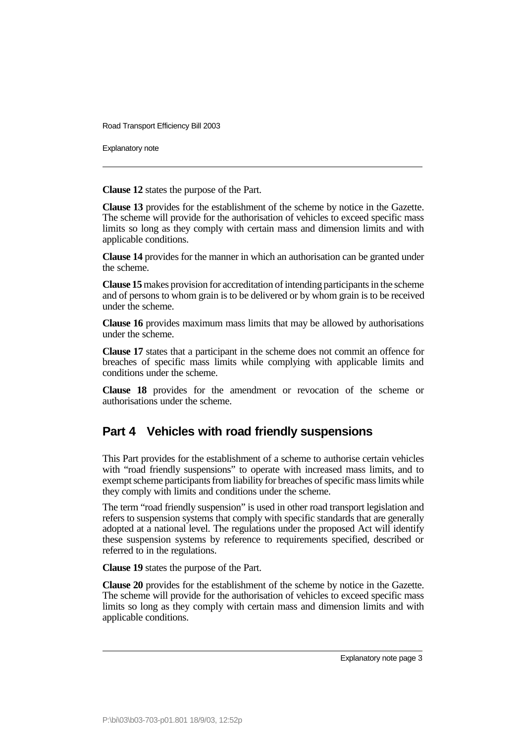Explanatory note

**Clause 12** states the purpose of the Part.

**Clause 13** provides for the establishment of the scheme by notice in the Gazette. The scheme will provide for the authorisation of vehicles to exceed specific mass limits so long as they comply with certain mass and dimension limits and with applicable conditions.

**Clause 14** provides for the manner in which an authorisation can be granted under the scheme.

**Clause 15**makes provision for accreditation of intending participants in the scheme and of persons to whom grain is to be delivered or by whom grain is to be received under the scheme.

**Clause 16** provides maximum mass limits that may be allowed by authorisations under the scheme.

**Clause 17** states that a participant in the scheme does not commit an offence for breaches of specific mass limits while complying with applicable limits and conditions under the scheme.

**Clause 18** provides for the amendment or revocation of the scheme or authorisations under the scheme.

### **Part 4 Vehicles with road friendly suspensions**

This Part provides for the establishment of a scheme to authorise certain vehicles with "road friendly suspensions" to operate with increased mass limits, and to exempt scheme participants from liability for breaches of specific mass limits while they comply with limits and conditions under the scheme.

The term "road friendly suspension" is used in other road transport legislation and refers to suspension systems that comply with specific standards that are generally adopted at a national level. The regulations under the proposed Act will identify these suspension systems by reference to requirements specified, described or referred to in the regulations.

**Clause 19** states the purpose of the Part.

**Clause 20** provides for the establishment of the scheme by notice in the Gazette. The scheme will provide for the authorisation of vehicles to exceed specific mass limits so long as they comply with certain mass and dimension limits and with applicable conditions.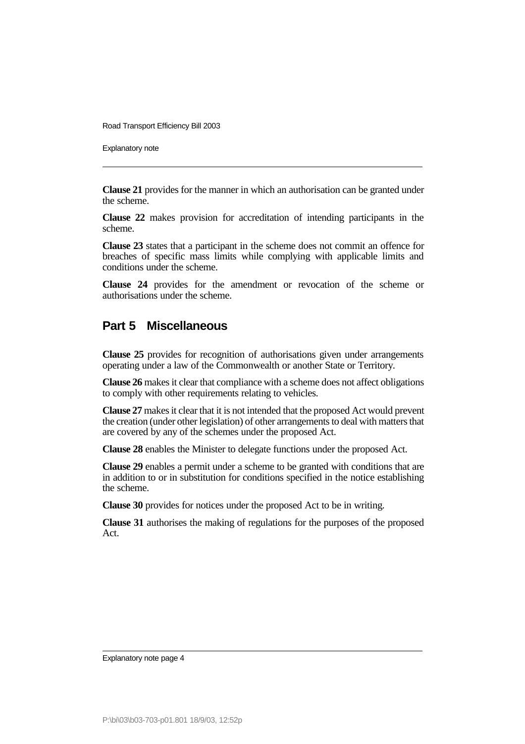Explanatory note

**Clause 21** provides for the manner in which an authorisation can be granted under the scheme.

**Clause 22** makes provision for accreditation of intending participants in the scheme.

**Clause 23** states that a participant in the scheme does not commit an offence for breaches of specific mass limits while complying with applicable limits and conditions under the scheme.

**Clause 24** provides for the amendment or revocation of the scheme or authorisations under the scheme.

### **Part 5 Miscellaneous**

**Clause 25** provides for recognition of authorisations given under arrangements operating under a law of the Commonwealth or another State or Territory.

**Clause 26** makes it clear that compliance with a scheme does not affect obligations to comply with other requirements relating to vehicles.

**Clause 27** makes it clear that it is not intended that the proposed Act would prevent the creation (under other legislation) of other arrangements to deal with matters that are covered by any of the schemes under the proposed Act.

**Clause 28** enables the Minister to delegate functions under the proposed Act.

**Clause 29** enables a permit under a scheme to be granted with conditions that are in addition to or in substitution for conditions specified in the notice establishing the scheme.

**Clause 30** provides for notices under the proposed Act to be in writing.

**Clause 31** authorises the making of regulations for the purposes of the proposed Act.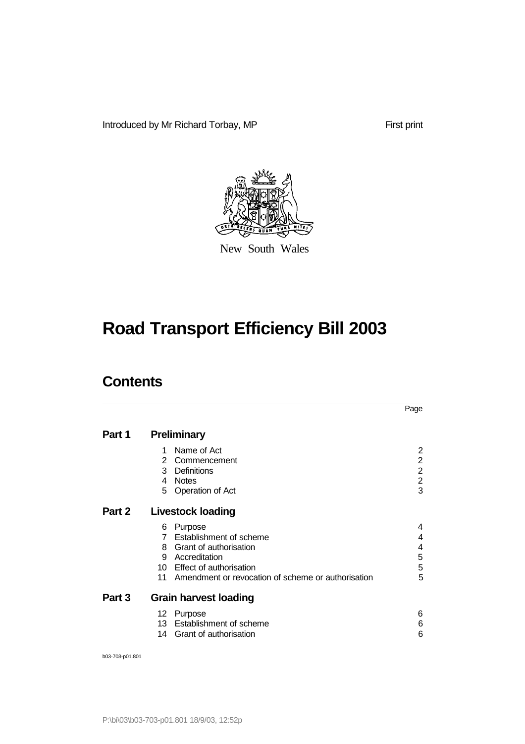Introduced by Mr Richard Torbay, MP

First print



New South Wales

# **Road Transport Efficiency Bill 2003**

## **Contents**

|        |                                                                                                                                                                                        | Page                                                         |
|--------|----------------------------------------------------------------------------------------------------------------------------------------------------------------------------------------|--------------------------------------------------------------|
| Part 1 | <b>Preliminary</b>                                                                                                                                                                     |                                                              |
|        | Name of Act<br>1<br>Commencement<br>Definitions<br>3<br><b>Notes</b><br>4<br>Operation of Act<br>5                                                                                     | 2<br>$\overline{2}$<br>$\overline{c}$<br>$\overline{2}$<br>3 |
| Part 2 | Livestock loading                                                                                                                                                                      |                                                              |
|        | Purpose<br>6<br>Establishment of scheme<br>Grant of authorisation<br>8<br>9 Accreditation<br>Effect of authorisation<br>10<br>Amendment or revocation of scheme or authorisation<br>11 | 4<br>4<br>4<br>5<br>5<br>5                                   |
| Part 3 | <b>Grain harvest loading</b>                                                                                                                                                           |                                                              |
|        | 12<br>Purpose<br>Establishment of scheme<br>13<br>Grant of authorisation<br>14                                                                                                         | 6<br>6<br>6                                                  |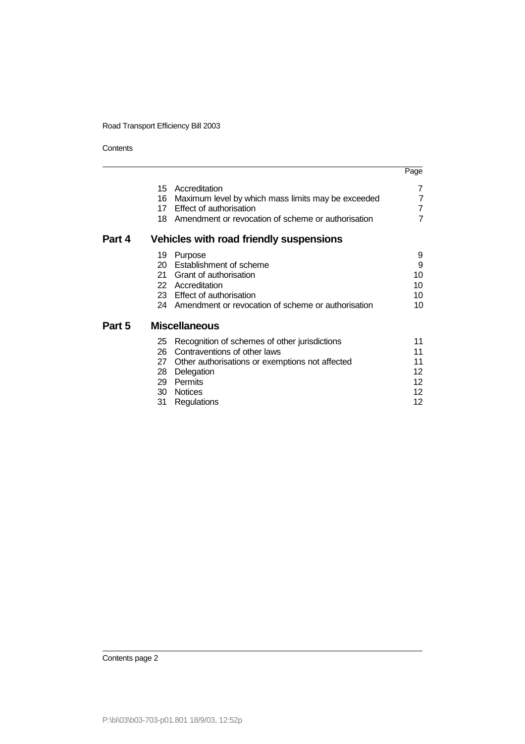**Contents** 

|        |                                        |                                                                                                                                                                                            | Page                                                 |
|--------|----------------------------------------|--------------------------------------------------------------------------------------------------------------------------------------------------------------------------------------------|------------------------------------------------------|
|        | 16                                     | 15 Accreditation<br>Maximum level by which mass limits may be exceeded<br>17 Effect of authorisation<br>18 Amendment or revocation of scheme or authorisation                              | 7<br>7<br>$\overline{7}$<br>7                        |
| Part 4 |                                        | Vehicles with road friendly suspensions                                                                                                                                                    |                                                      |
|        | 19<br>20<br>21                         | Purpose<br>Establishment of scheme<br>Grant of authorisation<br>22 Accreditation<br>23 Effect of authorisation<br>24 Amendment or revocation of scheme or authorisation                    | 9<br>9<br>10<br>10<br>10<br>10                       |
| Part 5 |                                        | <b>Miscellaneous</b>                                                                                                                                                                       |                                                      |
|        | 25<br>26<br>27<br>28<br>29<br>30<br>31 | Recognition of schemes of other jurisdictions<br>Contraventions of other laws<br>Other authorisations or exemptions not affected<br>Delegation<br>Permits<br><b>Notices</b><br>Regulations | 11<br>11<br>11<br>12<br>12.<br>12 <sup>2</sup><br>12 |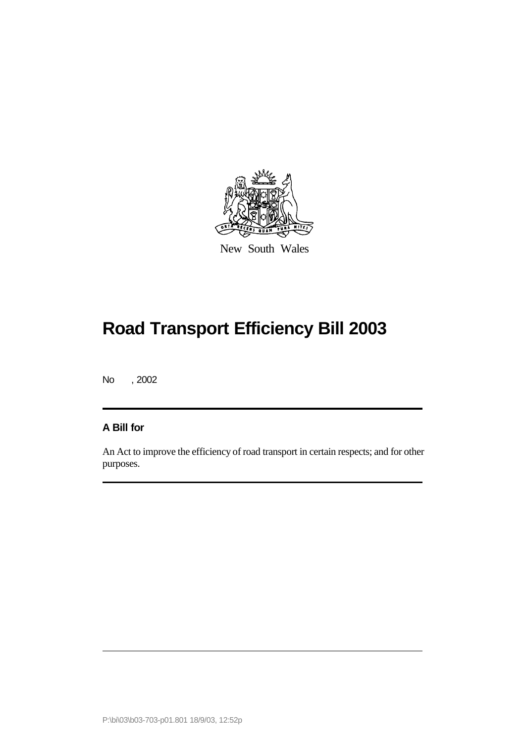

New South Wales

# **Road Transport Efficiency Bill 2003**

No , 2002

#### **A Bill for**

An Act to improve the efficiency of road transport in certain respects; and for other purposes.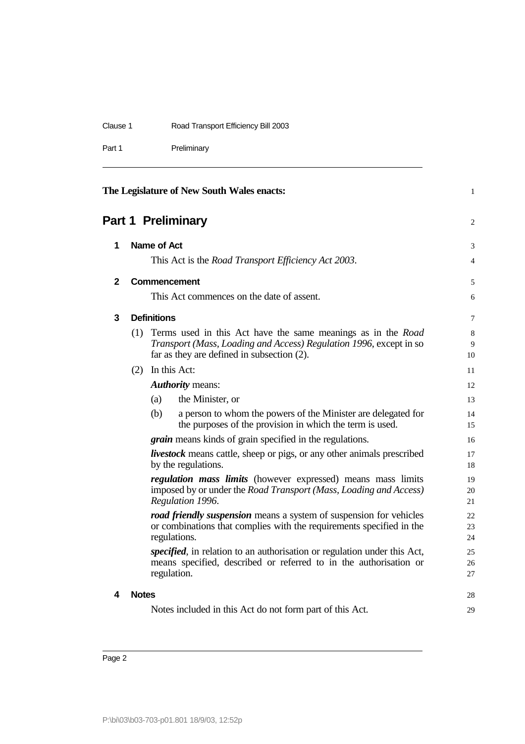| The Legislature of New South Wales enacts: |                                     |  |
|--------------------------------------------|-------------------------------------|--|
| Part 1                                     | Preliminary                         |  |
| Clause 1                                   | Road Transport Efficiency Bill 2003 |  |

# **Part 1 Preliminary** 2

| 1            |              | Name of Act        |                                                                                                                                                                                            | 3              |
|--------------|--------------|--------------------|--------------------------------------------------------------------------------------------------------------------------------------------------------------------------------------------|----------------|
|              |              |                    | This Act is the <i>Road Transport Efficiency Act 2003</i> .                                                                                                                                | $\overline{4}$ |
| $\mathbf{2}$ |              |                    | <b>Commencement</b>                                                                                                                                                                        | 5              |
|              |              |                    | This Act commences on the date of assent.                                                                                                                                                  | 6              |
| 3            |              | <b>Definitions</b> |                                                                                                                                                                                            | 7              |
|              | (1)          |                    | Terms used in this Act have the same meanings as in the <i>Road</i><br>Transport (Mass, Loading and Access) Regulation 1996, except in so<br>far as they are defined in subsection $(2)$ . | 8<br>9<br>10   |
|              |              |                    | (2) In this Act:                                                                                                                                                                           | 11             |
|              |              |                    | <b>Authority</b> means:                                                                                                                                                                    | 12             |
|              |              | (a)                | the Minister, or                                                                                                                                                                           | 13             |
|              |              | (b)                | a person to whom the powers of the Minister are delegated for<br>the purposes of the provision in which the term is used.                                                                  | 14<br>15       |
|              |              |                    | <i>grain</i> means kinds of grain specified in the regulations.                                                                                                                            | 16             |
|              |              |                    | <i>livestock</i> means cattle, sheep or pigs, or any other animals prescribed<br>by the regulations.                                                                                       | 17<br>18       |
|              |              |                    | regulation mass limits (however expressed) means mass limits<br>imposed by or under the Road Transport (Mass, Loading and Access)<br>Regulation 1996.                                      | 19<br>20<br>21 |
|              |              |                    | <b>road friendly suspension</b> means a system of suspension for vehicles<br>or combinations that complies with the requirements specified in the<br>regulations.                          | 22<br>23<br>24 |
|              |              |                    | specified, in relation to an authorisation or regulation under this Act,<br>means specified, described or referred to in the authorisation or<br>regulation.                               | 25<br>26<br>27 |
| 4            | <b>Notes</b> |                    |                                                                                                                                                                                            | 28             |
|              |              |                    | Notes included in this Act do not form part of this Act.                                                                                                                                   | 29             |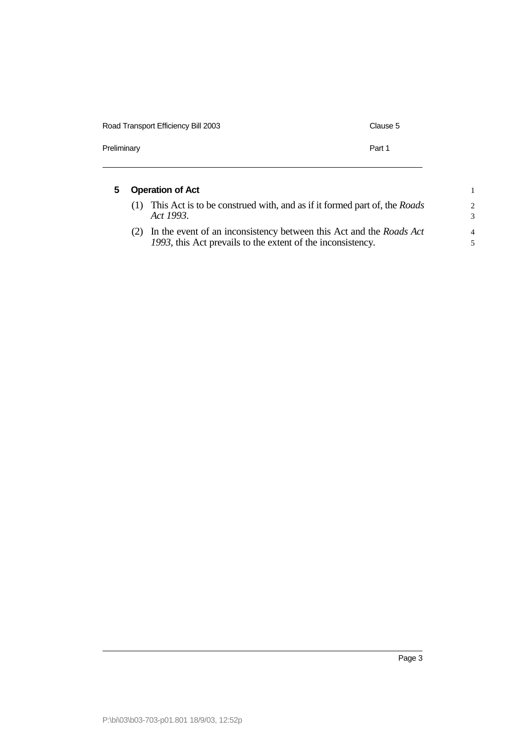| Road Transport Efficiency Bill 2003 | Clause 5 |
|-------------------------------------|----------|
| Preliminary                         | Part 1   |

| 5. | <b>Operation of Act</b> |                                                                                                                                    |                      |  |
|----|-------------------------|------------------------------------------------------------------------------------------------------------------------------------|----------------------|--|
|    | (1)                     | This Act is to be construed with, and as if it formed part of, the <i>Roads</i><br>Act 1993.                                       | $\overline{2}$<br>-3 |  |
|    |                         | In the event of an inconsistency between this Act and the Roads Act<br>1993, this Act prevails to the extent of the inconsistency. | $\overline{4}$       |  |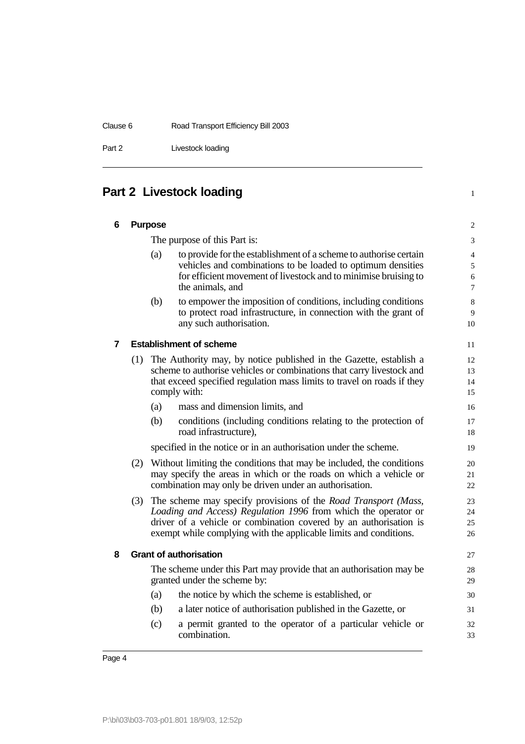Part 2 Livestock loading

## **Part 2 Livestock loading 1**

| 6 |     | <b>Purpose</b> |                                                                                                                                                                                                                                                                                   | $\overline{c}$                                       |
|---|-----|----------------|-----------------------------------------------------------------------------------------------------------------------------------------------------------------------------------------------------------------------------------------------------------------------------------|------------------------------------------------------|
|   |     |                | The purpose of this Part is:                                                                                                                                                                                                                                                      | 3                                                    |
|   |     | (a)            | to provide for the establishment of a scheme to authorise certain<br>vehicles and combinations to be loaded to optimum densities<br>for efficient movement of livestock and to minimise bruising to<br>the animals, and                                                           | $\overline{\mathcal{L}}$<br>5<br>6<br>$\overline{7}$ |
|   |     | (b)            | to empower the imposition of conditions, including conditions<br>to protect road infrastructure, in connection with the grant of<br>any such authorisation.                                                                                                                       | 8<br>9<br>10                                         |
| 7 |     |                | <b>Establishment of scheme</b>                                                                                                                                                                                                                                                    | 11                                                   |
|   | (1) |                | The Authority may, by notice published in the Gazette, establish a<br>scheme to authorise vehicles or combinations that carry livestock and<br>that exceed specified regulation mass limits to travel on roads if they<br>comply with:                                            | 12<br>13<br>14<br>15                                 |
|   |     | (a)            | mass and dimension limits, and                                                                                                                                                                                                                                                    | 16                                                   |
|   |     | (b)            | conditions (including conditions relating to the protection of<br>road infrastructure),                                                                                                                                                                                           | 17<br>18                                             |
|   |     |                | specified in the notice or in an authorisation under the scheme.                                                                                                                                                                                                                  | 19                                                   |
|   | (2) |                | Without limiting the conditions that may be included, the conditions<br>may specify the areas in which or the roads on which a vehicle or<br>combination may only be driven under an authorisation.                                                                               | 20<br>21<br>22                                       |
|   | (3) |                | The scheme may specify provisions of the <i>Road Transport (Mass,</i><br>Loading and Access) Regulation 1996 from which the operator or<br>driver of a vehicle or combination covered by an authorisation is<br>exempt while complying with the applicable limits and conditions. | 23<br>24<br>25<br>26                                 |
| 8 |     |                | <b>Grant of authorisation</b>                                                                                                                                                                                                                                                     | 27                                                   |
|   |     |                | The scheme under this Part may provide that an authorisation may be<br>granted under the scheme by:                                                                                                                                                                               | 28<br>29                                             |
|   |     | (a)            | the notice by which the scheme is established, or                                                                                                                                                                                                                                 | 30                                                   |
|   |     | (b)            | a later notice of authorisation published in the Gazette, or                                                                                                                                                                                                                      | 31                                                   |
|   |     | (c)            | a permit granted to the operator of a particular vehicle or<br>combination.                                                                                                                                                                                                       | 32<br>33                                             |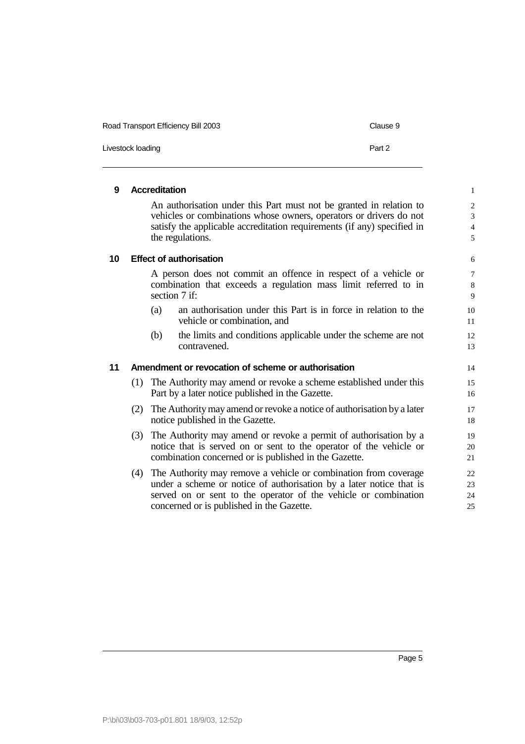| Road Transport Efficiency Bill 2003 | Clause 9 |
|-------------------------------------|----------|
| Livestock loading                   | Part 2   |

| 9  |     | <b>Accreditation</b> |                                                                                                                                                                                                                                                            | $\mathbf{1}$                               |
|----|-----|----------------------|------------------------------------------------------------------------------------------------------------------------------------------------------------------------------------------------------------------------------------------------------------|--------------------------------------------|
|    |     |                      | An authorisation under this Part must not be granted in relation to<br>vehicles or combinations whose owners, operators or drivers do not<br>satisfy the applicable accreditation requirements (if any) specified in<br>the regulations.                   | $\overline{c}$<br>3<br>$\overline{4}$<br>5 |
| 10 |     |                      | <b>Effect of authorisation</b>                                                                                                                                                                                                                             | 6                                          |
|    |     |                      | A person does not commit an offence in respect of a vehicle or<br>combination that exceeds a regulation mass limit referred to in<br>section 7 if:                                                                                                         | $\overline{7}$<br>8<br>9                   |
|    |     | (a)                  | an authorisation under this Part is in force in relation to the<br>vehicle or combination, and                                                                                                                                                             | 10<br>11                                   |
|    |     | (b)                  | the limits and conditions applicable under the scheme are not<br>contravened.                                                                                                                                                                              | 12<br>13                                   |
| 11 |     |                      | Amendment or revocation of scheme or authorisation                                                                                                                                                                                                         | 14                                         |
|    |     |                      | (1) The Authority may amend or revoke a scheme established under this<br>Part by a later notice published in the Gazette.                                                                                                                                  | 15<br>16                                   |
|    | (2) |                      | The Authority may amend or revoke a notice of authorisation by a later<br>notice published in the Gazette.                                                                                                                                                 | 17<br>18                                   |
|    | (3) |                      | The Authority may amend or revoke a permit of authorisation by a<br>notice that is served on or sent to the operator of the vehicle or<br>combination concerned or is published in the Gazette.                                                            | 19<br>20<br>21                             |
|    |     |                      | (4) The Authority may remove a vehicle or combination from coverage<br>under a scheme or notice of authorisation by a later notice that is<br>served on or sent to the operator of the vehicle or combination<br>concerned or is published in the Gazette. | 22<br>23<br>24<br>25                       |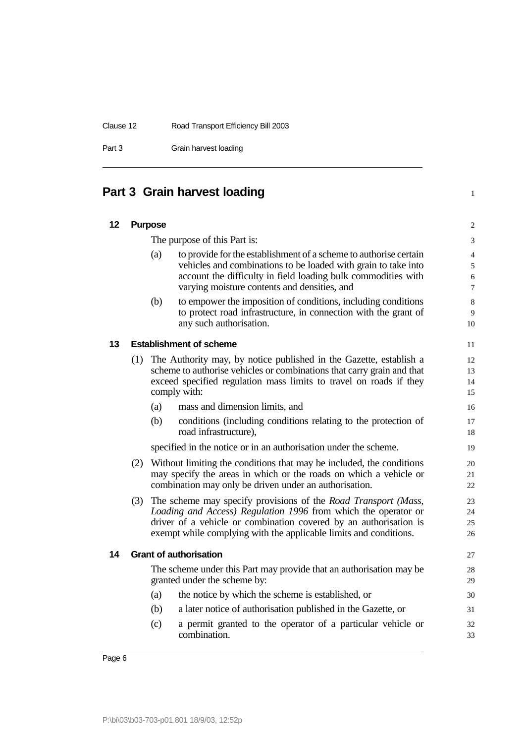Part 3 Grain harvest loading

## **Part 3 Grain harvest loading** <sup>1</sup>

| 12 |     | <b>Purpose</b> |                                                                                                                                                                                                                                                                                   | $\sqrt{2}$                         |
|----|-----|----------------|-----------------------------------------------------------------------------------------------------------------------------------------------------------------------------------------------------------------------------------------------------------------------------------|------------------------------------|
|    |     |                | The purpose of this Part is:                                                                                                                                                                                                                                                      | 3                                  |
|    |     | (a)            | to provide for the establishment of a scheme to authorise certain<br>vehicles and combinations to be loaded with grain to take into<br>account the difficulty in field loading bulk commodities with<br>varying moisture contents and densities, and                              | 4<br>$\sqrt{5}$<br>$\sqrt{6}$<br>7 |
|    |     | (b)            | to empower the imposition of conditions, including conditions<br>to protect road infrastructure, in connection with the grant of<br>any such authorisation.                                                                                                                       | $\,8\,$<br>$\overline{9}$<br>10    |
| 13 |     |                | <b>Establishment of scheme</b>                                                                                                                                                                                                                                                    | 11                                 |
|    | (1) |                | The Authority may, by notice published in the Gazette, establish a<br>scheme to authorise vehicles or combinations that carry grain and that<br>exceed specified regulation mass limits to travel on roads if they<br>comply with:                                                | 12<br>13<br>14<br>15               |
|    |     | (a)            | mass and dimension limits, and                                                                                                                                                                                                                                                    | 16                                 |
|    |     | (b)            | conditions (including conditions relating to the protection of<br>road infrastructure),                                                                                                                                                                                           | 17<br>18                           |
|    |     |                | specified in the notice or in an authorisation under the scheme.                                                                                                                                                                                                                  | 19                                 |
|    | (2) |                | Without limiting the conditions that may be included, the conditions<br>may specify the areas in which or the roads on which a vehicle or<br>combination may only be driven under an authorisation.                                                                               | 20<br>21<br>22                     |
|    | (3) |                | The scheme may specify provisions of the <i>Road Transport (Mass,</i><br>Loading and Access) Regulation 1996 from which the operator or<br>driver of a vehicle or combination covered by an authorisation is<br>exempt while complying with the applicable limits and conditions. | 23<br>24<br>25<br>26               |
| 14 |     |                | <b>Grant of authorisation</b>                                                                                                                                                                                                                                                     | 27                                 |
|    |     |                | The scheme under this Part may provide that an authorisation may be<br>granted under the scheme by:                                                                                                                                                                               | 28<br>29                           |
|    |     | (a)            | the notice by which the scheme is established, or                                                                                                                                                                                                                                 | 30                                 |
|    |     | (b)            | a later notice of authorisation published in the Gazette, or                                                                                                                                                                                                                      | 31                                 |
|    |     | (c)            | a permit granted to the operator of a particular vehicle or<br>combination.                                                                                                                                                                                                       | 32<br>33                           |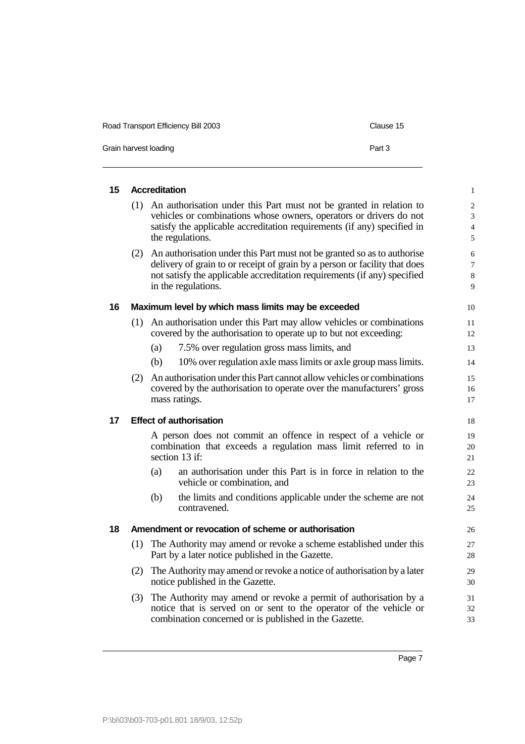| Road Transport Efficiency Bill 2003<br>Clause 15 |        |  |  |  |
|--------------------------------------------------|--------|--|--|--|
| Grain harvest loading                            | Part 3 |  |  |  |

| 15 |     | <b>Accreditation</b>                                                                                                                                                                                                                                     | $\,1$                                      |
|----|-----|----------------------------------------------------------------------------------------------------------------------------------------------------------------------------------------------------------------------------------------------------------|--------------------------------------------|
|    | (1) | An authorisation under this Part must not be granted in relation to<br>vehicles or combinations whose owners, operators or drivers do not<br>satisfy the applicable accreditation requirements (if any) specified in<br>the regulations.                 | $\overline{c}$<br>3<br>$\overline{4}$<br>5 |
|    | (2) | An authorisation under this Part must not be granted so as to authorise<br>delivery of grain to or receipt of grain by a person or facility that does<br>not satisfy the applicable accreditation requirements (if any) specified<br>in the regulations. | 6<br>$\overline{7}$<br>8<br>9              |
| 16 |     | Maximum level by which mass limits may be exceeded                                                                                                                                                                                                       | 10                                         |
|    | (1) | An authorisation under this Part may allow vehicles or combinations<br>covered by the authorisation to operate up to but not exceeding:                                                                                                                  | 11<br>12                                   |
|    |     | 7.5% over regulation gross mass limits, and<br>(a)                                                                                                                                                                                                       | 13                                         |
|    |     | (b)<br>10% over regulation axle mass limits or axle group mass limits.                                                                                                                                                                                   | 14                                         |
|    | (2) | An authorisation under this Part cannot allow vehicles or combinations<br>covered by the authorisation to operate over the manufacturers' gross<br>mass ratings.                                                                                         | 15<br>16<br>17                             |
| 17 |     | <b>Effect of authorisation</b>                                                                                                                                                                                                                           | 18                                         |
|    |     | A person does not commit an offence in respect of a vehicle or<br>combination that exceeds a regulation mass limit referred to in<br>section 13 if:                                                                                                      | 19<br>20<br>21                             |
|    |     | an authorisation under this Part is in force in relation to the<br>(a)<br>vehicle or combination, and                                                                                                                                                    | 22<br>23                                   |
|    |     | (b)<br>the limits and conditions applicable under the scheme are not<br>contravened.                                                                                                                                                                     | 24<br>25                                   |
| 18 |     | Amendment or revocation of scheme or authorisation                                                                                                                                                                                                       | 26                                         |
|    | (1) | The Authority may amend or revoke a scheme established under this<br>Part by a later notice published in the Gazette.                                                                                                                                    | 27<br>28                                   |
|    | (2) | The Authority may amend or revoke a notice of authorisation by a later<br>notice published in the Gazette.                                                                                                                                               | 29<br>30                                   |
|    | (3) | The Authority may amend or revoke a permit of authorisation by a<br>notice that is served on or sent to the operator of the vehicle or                                                                                                                   | 31<br>32                                   |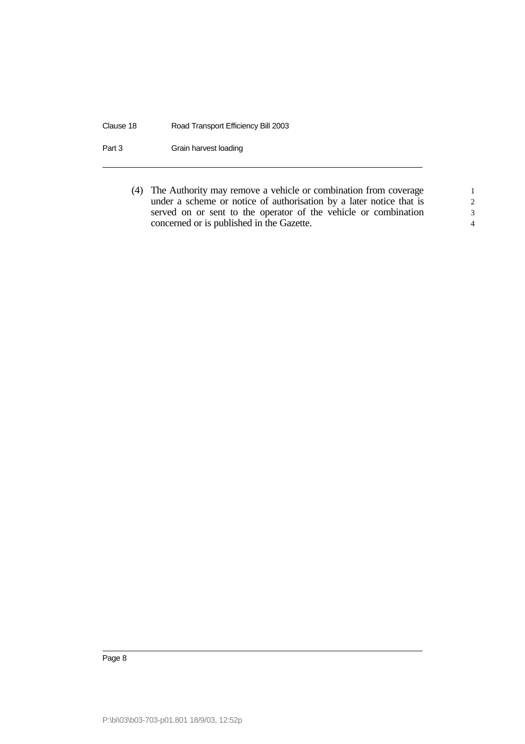Clause 18 Road Transport Efficiency Bill 2003

Part 3 Grain harvest loading

(4) The Authority may remove a vehicle or combination from coverage 1 under a scheme or notice of authorisation by a later notice that is 2 served on or sent to the operator of the vehicle or combination 3 concerned or is published in the Gazette. 4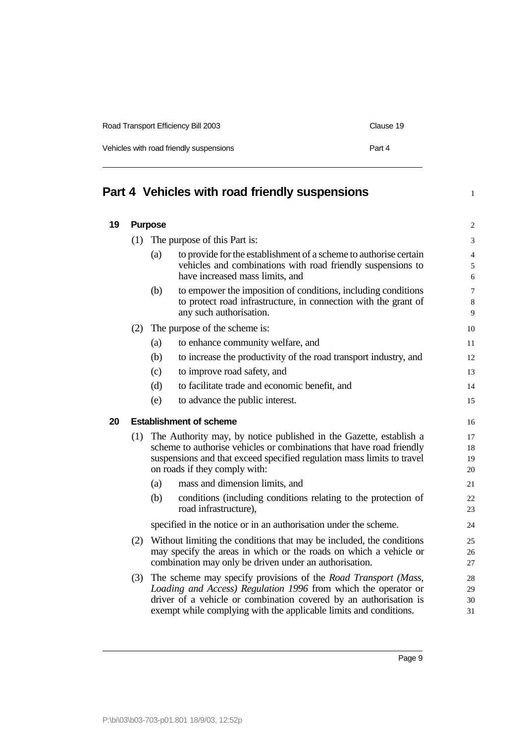| Road Transport Efficiency Bill 2003     | Clause 19 |
|-----------------------------------------|-----------|
| Vehicles with road friendly suspensions | Part 4    |

## **Part 4 Vehicles with road friendly suspensions** <sup>1</sup>

| 19 |     | <b>Purpose</b>                                                                                                                                                                                                                                        |                                                                                                                                                                                                                                                                                   | $\overline{\mathbf{c}}$  |
|----|-----|-------------------------------------------------------------------------------------------------------------------------------------------------------------------------------------------------------------------------------------------------------|-----------------------------------------------------------------------------------------------------------------------------------------------------------------------------------------------------------------------------------------------------------------------------------|--------------------------|
|    | (1) | The purpose of this Part is:                                                                                                                                                                                                                          |                                                                                                                                                                                                                                                                                   | 3                        |
|    |     | (a)                                                                                                                                                                                                                                                   | to provide for the establishment of a scheme to authorise certain<br>vehicles and combinations with road friendly suspensions to<br>have increased mass limits, and                                                                                                               | $\overline{4}$<br>5<br>6 |
|    |     | (b)                                                                                                                                                                                                                                                   | to empower the imposition of conditions, including conditions<br>to protect road infrastructure, in connection with the grant of<br>any such authorisation.                                                                                                                       | 7<br>8<br>9              |
|    | (2) |                                                                                                                                                                                                                                                       | The purpose of the scheme is:                                                                                                                                                                                                                                                     | 10                       |
|    |     | (a)                                                                                                                                                                                                                                                   | to enhance community welfare, and                                                                                                                                                                                                                                                 | 11                       |
|    |     | (b)                                                                                                                                                                                                                                                   | to increase the productivity of the road transport industry, and                                                                                                                                                                                                                  | 12                       |
|    |     | (c)                                                                                                                                                                                                                                                   | to improve road safety, and                                                                                                                                                                                                                                                       | 13                       |
|    |     | (d)                                                                                                                                                                                                                                                   | to facilitate trade and economic benefit, and                                                                                                                                                                                                                                     | 14                       |
|    |     | (e)                                                                                                                                                                                                                                                   | to advance the public interest.                                                                                                                                                                                                                                                   | 15                       |
| 20 |     |                                                                                                                                                                                                                                                       | <b>Establishment of scheme</b>                                                                                                                                                                                                                                                    | 16                       |
|    | (1) | The Authority may, by notice published in the Gazette, establish a<br>scheme to authorise vehicles or combinations that have road friendly<br>suspensions and that exceed specified regulation mass limits to travel<br>on roads if they comply with: |                                                                                                                                                                                                                                                                                   | 17<br>18<br>19<br>20     |
|    |     | (a)                                                                                                                                                                                                                                                   | mass and dimension limits, and                                                                                                                                                                                                                                                    | 21                       |
|    |     | (b)                                                                                                                                                                                                                                                   | conditions (including conditions relating to the protection of<br>road infrastructure),                                                                                                                                                                                           | 22<br>23                 |
|    |     |                                                                                                                                                                                                                                                       | specified in the notice or in an authorisation under the scheme.                                                                                                                                                                                                                  | 24                       |
|    |     | (2) Without limiting the conditions that may be included, the conditions<br>may specify the areas in which or the roads on which a vehicle or<br>combination may only be driven under an authorisation.                                               |                                                                                                                                                                                                                                                                                   | 25<br>26<br>27           |
|    | (3) |                                                                                                                                                                                                                                                       | The scheme may specify provisions of the <i>Road Transport (Mass,</i><br>Loading and Access) Regulation 1996 from which the operator or<br>driver of a vehicle or combination covered by an authorisation is<br>exempt while complying with the applicable limits and conditions. | 28<br>29<br>30<br>31     |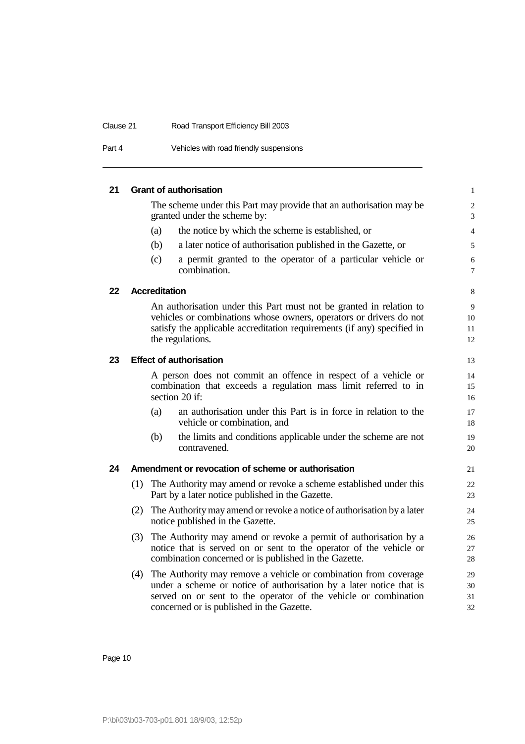| Clause 21 | Road Transport Efficiency Bill 2003     |
|-----------|-----------------------------------------|
| Part 4    | Vehicles with road friendly suspensions |

# **21 Grant of authorisation** 1

The scheme under this Part may provide that an authorisation may be 2 granted under the scheme by: 3

- (a) the notice by which the scheme is established, or 4
- (b) a later notice of authorisation published in the Gazette, or 5
- (c) a permit granted to the operator of a particular vehicle or 6 combination.  $\frac{7}{2}$

#### **22 Accreditation** 8

An authorisation under this Part must not be granted in relation to 9 vehicles or combinations whose owners, operators or drivers do not 10 satisfy the applicable accreditation requirements (if any) specified in 11 the regulations. 12

#### **23 Effect of authorisation** 13

A person does not commit an offence in respect of a vehicle or 14 combination that exceeds a regulation mass limit referred to in 15 section 20 if:  $\frac{16}{5}$ 

- (a) an authorisation under this Part is in force in relation to the 17 vehicle or combination, and 18
- (b) the limits and conditions applicable under the scheme are not 19 contravened. 20

#### **24 Amendment or revocation of scheme or authorisation** 21

- (1) The Authority may amend or revoke a scheme established under this 22 Part by a later notice published in the Gazette. 23
- (2) The Authority may amend or revoke a notice of authorisation by a later 24 notice published in the Gazette. 25
- (3) The Authority may amend or revoke a permit of authorisation by a 26 notice that is served on or sent to the operator of the vehicle or 27 combination concerned or is published in the Gazette. 28
- (4) The Authority may remove a vehicle or combination from coverage 29 under a scheme or notice of authorisation by a later notice that is  $30$ served on or sent to the operator of the vehicle or combination 31 concerned or is published in the Gazette. 32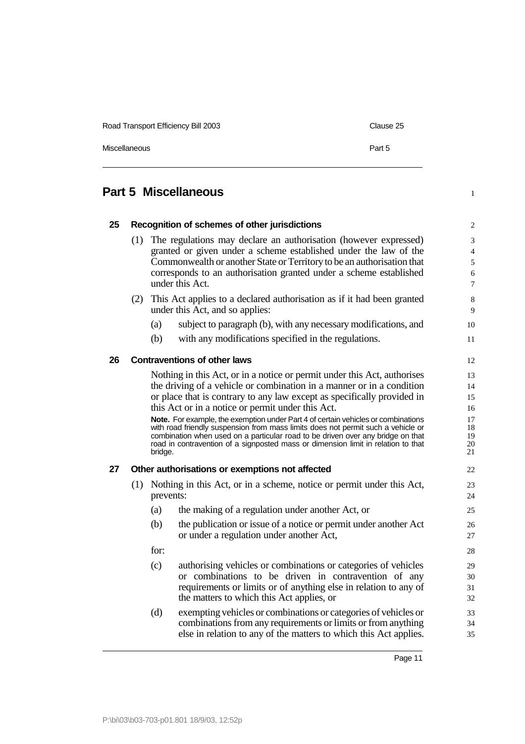| Road Transport Efficiency Bill 2003 | Clause 25 |
|-------------------------------------|-----------|
| <b>Miscellaneous</b>                | Part 5    |

## **Part 5 Miscellaneous** 1

| 25 |     |                                                                                                                                                                     | Recognition of schemes of other jurisdictions                            | $\overline{\mathbf{c}}$ |  |
|----|-----|---------------------------------------------------------------------------------------------------------------------------------------------------------------------|--------------------------------------------------------------------------|-------------------------|--|
|    | (1) | The regulations may declare an authorisation (however expressed)                                                                                                    |                                                                          |                         |  |
|    |     | granted or given under a scheme established under the law of the                                                                                                    |                                                                          |                         |  |
|    |     | Commonwealth or another State or Territory to be an authorisation that                                                                                              |                                                                          |                         |  |
|    |     | corresponds to an authorisation granted under a scheme established<br>under this Act.                                                                               |                                                                          |                         |  |
|    |     |                                                                                                                                                                     |                                                                          |                         |  |
|    | (2) | This Act applies to a declared authorisation as if it had been granted<br>under this Act, and so applies:                                                           |                                                                          |                         |  |
|    |     | (a)                                                                                                                                                                 | subject to paragraph (b), with any necessary modifications, and          | 10                      |  |
|    |     | (b)                                                                                                                                                                 | with any modifications specified in the regulations.                     | 11                      |  |
| 26 |     |                                                                                                                                                                     | <b>Contraventions of other laws</b>                                      | 12                      |  |
|    |     |                                                                                                                                                                     | Nothing in this Act, or in a notice or permit under this Act, authorises | 13                      |  |
|    |     |                                                                                                                                                                     | the driving of a vehicle or combination in a manner or in a condition    | 14                      |  |
|    |     |                                                                                                                                                                     | or place that is contrary to any law except as specifically provided in  | 15                      |  |
|    |     |                                                                                                                                                                     | this Act or in a notice or permit under this Act.                        | 16                      |  |
|    |     | Note. For example, the exemption under Part 4 of certain vehicles or combinations                                                                                   |                                                                          |                         |  |
|    |     | with road friendly suspension from mass limits does not permit such a vehicle or<br>combination when used on a particular road to be driven over any bridge on that |                                                                          |                         |  |
|    |     | road in contravention of a signposted mass or dimension limit in relation to that                                                                                   |                                                                          |                         |  |
|    |     | bridge.                                                                                                                                                             |                                                                          | 21                      |  |
| 27 |     | Other authorisations or exemptions not affected                                                                                                                     |                                                                          | 22                      |  |
|    |     | (1) Nothing in this Act, or in a scheme, notice or permit under this Act,<br>prevents:                                                                              |                                                                          | 23                      |  |
|    |     |                                                                                                                                                                     |                                                                          | 24                      |  |
|    |     | (a)                                                                                                                                                                 | the making of a regulation under another Act, or                         | 25                      |  |
|    |     | (b)                                                                                                                                                                 | the publication or issue of a notice or permit under another Act         | 26                      |  |
|    |     |                                                                                                                                                                     | or under a regulation under another Act,                                 | 27                      |  |
|    |     | for:                                                                                                                                                                |                                                                          | 28                      |  |
|    |     | (c)                                                                                                                                                                 | authorising vehicles or combinations or categories of vehicles           | 29                      |  |
|    |     |                                                                                                                                                                     | or combinations to be driven in contravention of any                     | 30                      |  |
|    |     |                                                                                                                                                                     | requirements or limits or of anything else in relation to any of         | 31                      |  |
|    |     |                                                                                                                                                                     | the matters to which this Act applies, or                                | 32                      |  |
|    |     | (d)                                                                                                                                                                 | exempting vehicles or combinations or categories of vehicles or          | 33                      |  |
|    |     |                                                                                                                                                                     | combinations from any requirements or limits or from anything            | 34                      |  |
|    |     |                                                                                                                                                                     | else in relation to any of the matters to which this Act applies.        | 35                      |  |